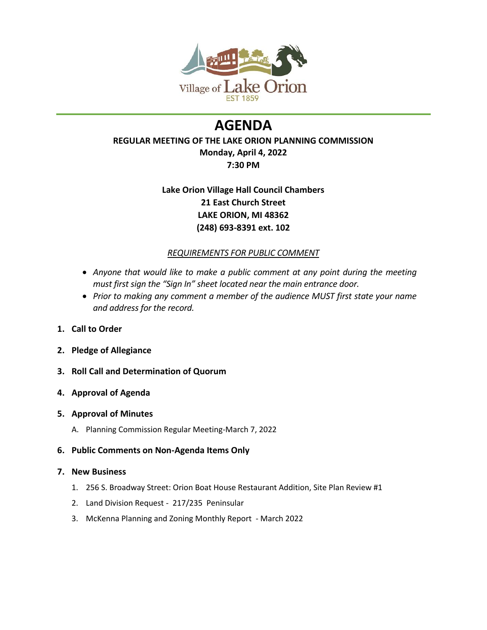

# **AGENDA**

# **REGULAR MEETING OF THE LAKE ORION PLANNING COMMISSION Monday, April 4, 2022**

# **7:30 PM**

# **Lake Orion Village Hall Council Chambers 21 East Church Street LAKE ORION, MI 48362 (248) 693-8391 ext. 102**

## *REQUIREMENTS FOR PUBLIC COMMENT*

- *Anyone that would like to make a public comment at any point during the meeting must first sign the "Sign In" sheet located near the main entrance door.*
- *Prior to making any comment a member of the audience MUST first state your name and address for the record.*
- **1. Call to Order**
- **2. Pledge of Allegiance**
- **3. Roll Call and Determination of Quorum**
- **4. Approval of Agenda**

## **5. Approval of Minutes**

- A. Planning Commission Regular Meeting-March 7, 2022
- **6. Public Comments on Non-Agenda Items Only**

## **7. New Business**

- 1. 256 S. Broadway Street: Orion Boat House Restaurant Addition, Site Plan Review #1
- 2. Land Division Request 217/235 Peninsular
- 3. McKenna Planning and Zoning Monthly Report March 2022